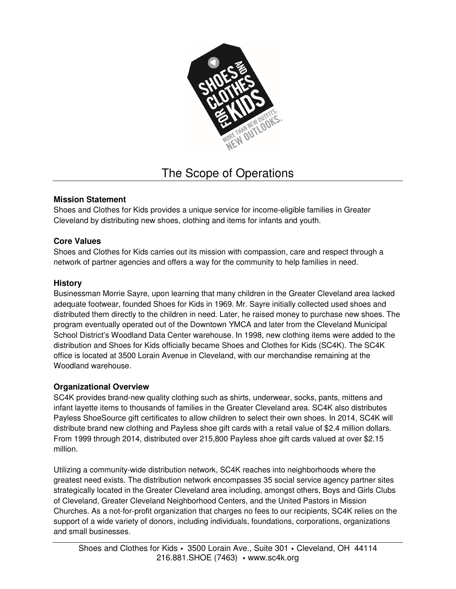

# The Scope of Operations

## **Mission Statement**

Shoes and Clothes for Kids provides a unique service for income-eligible families in Greater Cleveland by distributing new shoes, clothing and items for infants and youth.

### **Core Values**

Shoes and Clothes for Kids carries out its mission with compassion, care and respect through a network of partner agencies and offers a way for the community to help families in need.

### **History**

Businessman Morrie Sayre, upon learning that many children in the Greater Cleveland area lacked adequate footwear, founded Shoes for Kids in 1969. Mr. Sayre initially collected used shoes and distributed them directly to the children in need. Later, he raised money to purchase new shoes. The program eventually operated out of the Downtown YMCA and later from the Cleveland Municipal School District's Woodland Data Center warehouse. In 1998, new clothing items were added to the distribution and Shoes for Kids officially became Shoes and Clothes for Kids (SC4K). The SC4K office is located at 3500 Lorain Avenue in Cleveland, with our merchandise remaining at the Woodland warehouse.

## **Organizational Overview**

SC4K provides brand-new quality clothing such as shirts, underwear, socks, pants, mittens and infant layette items to thousands of families in the Greater Cleveland area. SC4K also distributes Payless ShoeSource gift certificates to allow children to select their own shoes. In 2014, SC4K will distribute brand new clothing and Payless shoe gift cards with a retail value of \$2.4 million dollars. From 1999 through 2014, distributed over 215,800 Payless shoe gift cards valued at over \$2.15 million.

Utilizing a community-wide distribution network, SC4K reaches into neighborhoods where the greatest need exists. The distribution network encompasses 35 social service agency partner sites strategically located in the Greater Cleveland area including, amongst others, Boys and Girls Clubs of Cleveland, Greater Cleveland Neighborhood Centers, and the United Pastors in Mission Churches. As a not-for-profit organization that charges no fees to our recipients, SC4K relies on the support of a wide variety of donors, including individuals, foundations, corporations, organizations and small businesses.